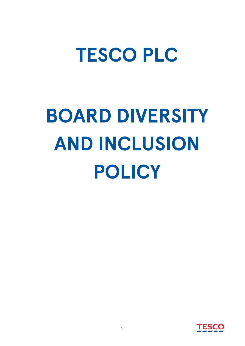## **TESCO PLC**

# **BOARD DIVERSITY AND INCLUSION POLICY**

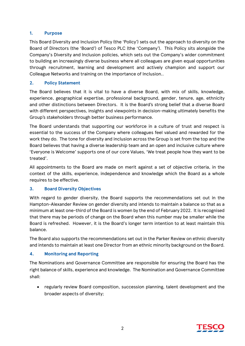### **1. Purpose**

This Board Diversity and Inclusion Policy (the 'Policy') sets out the approach to diversity on the Board of Directors (the 'Board') of Tesco PLC (the 'Company'). This Policy sits alongside the Company's Diversity and Inclusion policies, which sets out the Company's wider commitment to building an increasingly diverse business where all colleagues are given equal opportunities through recruitment, learning and development and actively champion and support our Colleague Networks and training on the importance of Inclusion..

### **2. Policy Statement**

The Board believes that it is vital to have a diverse Board, with mix of skills, knowledge, experience, geographical expertise, professional background, gender, tenure, age, ethnicity and other distinctions between Directors. It is the Board's strong belief that a diverse Board with different perspectives, insights and viewpoints in decision-making ultimately benefits the Group's stakeholders through better business performance.

The Board understands that supporting our workforce in a culture of trust and respect is essential to the success of the Company where colleagues feel valued and rewarded for the work they do. The tone for diversity and inclusion across the Group is set from the top and the Board believes that having a diverse leadership team and an open and inclusive culture where 'Everyone is Welcome' supports one of our core Values, 'We treat people how they want to be treated'.

All appointments to the Board are made on merit against a set of objective criteria, in the context of the skills, experience, independence and knowledge which the Board as a whole requires to be effective.

### **3. Board Diversity Objectives**

With regard to gender diversity, the Board supports the recommendations set out in the Hampton-Alexander Review on gender diversity and intends to maintain a balance so that as a minimum at least one-third of the Board is women by the end of February 2022. It is recognised that there may be periods of change on the Board when this number may be smaller while the Board is refreshed. However, it is the Board's longer term intention to at least maintain this balance.

The Board also supports the recommendations set out in the Parker Review on ethnic diversity and intends to maintain at least one Director from an ethnic minority background on the Board.

### **4. Monitoring and Reporting**

The Nominations and Governance Committee are responsible for ensuring the Board has the right balance of skills, experience and knowledge. The Nomination and Governance Committee shall:

• regularly review Board composition, succession planning, talent development and the broader aspects of diversity;